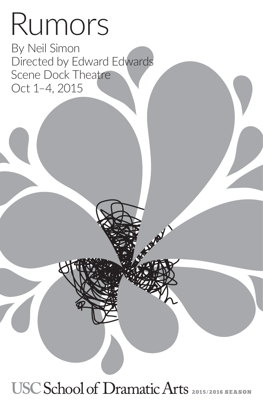# Rumors

By Neil Simon Directed by Edward Edwards Scene Dock Theatre Oct 1–4, 2015

## USC School of Dramatic Arts 2015/2016 SEASON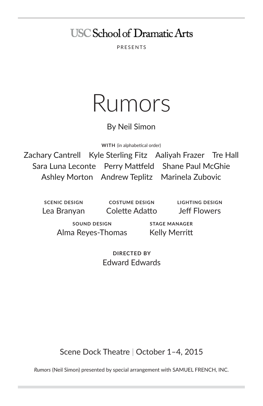### **USC School of Dramatic Arts**

PRESENTS

## Rumors

#### By Neil Simon

**WITH** (in alphabetical order)

Zachary Cantrell Kyle Sterling Fitz Aaliyah Frazer Tre Hall Sara Luna Leconte Perry Mattfeld Shane Paul McGhie Ashley Morton Andrew Teplitz Marinela Zubovic

**SCENIC DESIGN** Lea Branyan

**COSTUME DESIGN** Colette Adatto **LIGHTING DESIGN** Jeff Flowers

**SOUND DESIGN** Alma Reyes-Thomas

**STAGE MANAGER** Kelly Merritt

**DIRECTED BY** Edward Edwards

Scene Dock Theatre | October 1–4, 2015

*Rumors* (Neil Simon) presented by special arrangement with SAMUEL FRENCH, INC.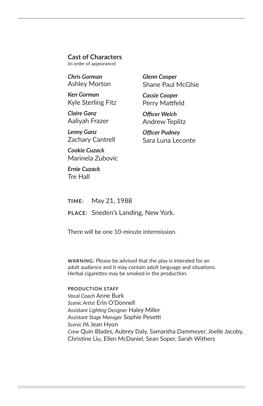#### **Cast of Characters**

(in order of appearance)

*Chris Gorman* Ashley Morton

*Ken Gorman* Kyle Sterling Fitz

*Claire Ganz* Aaliyah Frazer

*Lenny Ganz* Zachary Cantrell

*Cookie Cuzack* Marinela Zubovic

*Ernie Cuzack* Tre Hall

*Glenn Cooper* Shane Paul McGhie

*Cassie Cooper* Perry Mattfeld

*Officer Welch* Andrew Teplitz

*Officer Pudney* Sara Luna Leconte

**TIME:** May 21, 1988 **PLACE:** Sneden's Landing, New York.

There will be one 10-minute intermission.

**WARNING:** Please be advised that the play is intended for an adult audience and it may contain adult language and situations. Herbal cigarettes may be smoked in the production.

#### **PRODUCTION STAFF**

*Vocal Coach* Anne Burk *Scenic Artist* Erin O'Donnell *Assistant Lighting Designer* Haley Miller *Assistant Stage Manager* Sophie Pesetti *Scenic PA* Jean Hyon *Crew* Quin Blades, Aubrey Daly, Samantha Dammeyer, Joelle Jacoby, Christine Liu, Ellen McDaniel, Sean Soper, Sarah Withers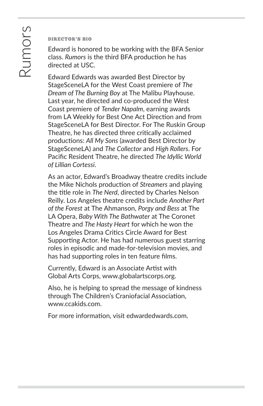#### DIRECTOR'S BIO

Edward is honored to be working with the BFA Senior class. *Rumors* is the third BFA production he has directed at USC.

Edward Edwards was awarded Best Director by StageSceneLA for the West Coast premiere of *The Dream of The Burning Boy* at The Malibu Playhouse. Last year, he directed and co-produced the West Coast premiere of *Tender Napalm*, earning awards from LA Weekly for Best One Act Direction and from StageSceneLA for Best Director. For The Ruskin Group Theatre, he has directed three critically acclaimed productions: *All My Sons* (awarded Best Director by StageSceneLA) and *The Collector* and *High Rollers*. For Pacific Resident Theatre, he directed *The Idyllic World of Lillian Cortessi*.

As an actor, Edward's Broadway theatre credits include the Mike Nichols production of *Streamers* and playing the title role in *The Nerd*, directed by Charles Nelson Reilly. Los Angeles theatre credits include *Another Part of the Forest* at The Ahmanson, *Porgy and Bess* at The LA Opera, *Baby With The Bathwater* at The Coronet Theatre and *The Hasty Heart* for which he won the Los Angeles Drama Critics Circle Award for Best Supporting Actor. He has had numerous guest starring roles in episodic and made-for-television movies, and has had supporting roles in ten feature films.

Currently, Edward is an Associate Artist with Global Arts Corps, www.globalartscorps.org.

Also, he is helping to spread the message of kindness through The Children's Craniofacial Association, www.ccakids.com.

For more information, visit edwardedwards.com.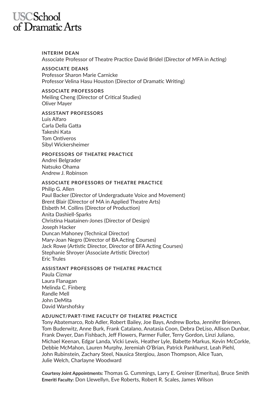### **USCSchool** of Dramatic Arts

**INTERIM DEAN** Associate Professor of Theatre Practice David Bridel (Director of MFA in Acting)

**ASSOCIATE DEANS** Professor Sharon Marie Carnicke Professor Velina Hasu Houston (Director of Dramatic Writing)

**ASSOCIATE PROFESSORS** Meiling Cheng (Director of Critical Studies) Oliver Mayer

#### **ASSISTANT PROFESSORS**

Luis Alfaro Carla Della Gatta Takeshi Kata Tom Ontiveros Sibyl Wickersheimer

#### **PROFESSORS OF THEATRE PRACTICE**

Andrei Belgrader Natsuko Ohama Andrew J. Robinson

#### **ASSOCIATE PROFESSORS OF THEATRE PRACTICE**

Philip G. Allen Paul Backer (Director of Undergraduate Voice and Movement) Brent Blair (Director of MA in Applied Theatre Arts) Elsbeth M. Collins (Director of Production) Anita Dashiell-Sparks Christina Haatainen-Jones (Director of Design) Joseph Hacker Duncan Mahoney (Technical Director) Mary-Joan Negro (Director of BA Acting Courses) Jack Rowe (Artistic Director, Director of BFA Acting Courses) Stephanie Shroyer (Associate Artistic Director) Eric Trules

#### **ASSISTANT PROFESSORS OF THEATRE PRACTICE**

Paula Cizmar Laura Flanagan Melinda C. Finberg Randle Mell John DeMita David Warshofsky

#### **ADJUNCT/PART-TIME FACULTY OF THEATRE PRACTICE**

Tony Abatemarco, Rob Adler, Robert Bailey, Joe Bays, Andrew Borba, Jennifer Brienen, Tom Buderwitz, Anne Burk, Frank Catalano, Anatasia Coon, Debra DeLiso, Allison Dunbar, Frank Dwyer, Dan Fishbach, Jeff Flowers, Parmer Fuller, Terry Gordon, Linzi Juliano, Michael Keenan, Edgar Landa, Vicki Lewis, Heather Lyle, Babette Markus, Kevin McCorkle, Debbie McMahon, Lauren Murphy, Jeremiah O'Brian, Patrick Pankhurst, Leah Piehl, John Rubinstein, Zachary Steel, Nausica Stergiou, Jason Thompson, Alice Tuan, Julie Welch, Charlayne Woodward

**Courtesy Joint Appointments:** Thomas G. Cummings, Larry E. Greiner (Emeritus), Bruce Smith **Emeriti Faculty:** Don Llewellyn, Eve Roberts, Robert R. Scales, James Wilson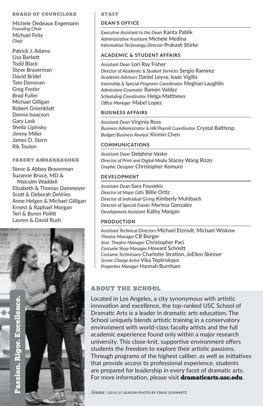#### BOARD OF COUNCILORS

Michele Dedeaux Engemann *Founding Chair* Michael Felix *Chair*

Patrick J. Adams Lisa Barkett Todd Black Steve Braverman David Bridel Tate Donovan Greg Foster Brad Fuller Michael Gilligan Robert Greenblatt Donna Isaacson Gary Lask Sheila Lipinsky Jimmy Miller James D. Stern Rik Toulon

#### PARENT AMBASSADORS

Steve & Abbey Braverman Suzanne Bruce, MD & Malcolm Waddell Elizabeth & Thomas Dammeyer Scott & Deborah DeVries Anne Helgen & Michael Gilligan Ernest & Raphael Morgan Teri & Byron Pollitt Lauren & David Rush



#### STAFF

#### **DEAN'S OFFICE**

*Executive Assistant to the Dean* Karita Pablik *Administrative Assistant* Michele Medina *Information Technology Director* Prakash Shirke

#### **ACADEMIC & STUDENT AFFAIRS**

*Assistant Dean* Lori Ray Fisher *Director of Academic & Student Services* Sergio Ramirez *Academic Advisors* Daniel Leyva, Isaac Vigilla *Internship & Special Programs Coordinator* Meghan Laughlin *Admissions Counselor* Ramón Valdez *Scheduling Coordinator* Helga Matthews *Office Manager* Mabel Lopez

#### **BUSINESS AFFAIRS**

*Assistant Dean* Virginia Ross *Business Administrator & HR/Payroll Coordinator* Crystal Balthrop *Budget/Business Analyst* Xinmin Chen

#### **COMMUNICATIONS**

*Assistant Dean* Delphine Vasko *Director of Print and Digital Media* Stacey Wang Rizzo *Graphic Designer* Christopher Komuro

#### **DEVELOPMENT**

*Assistant Dean* Sara Fousekis *Director of Major Gifts* Billie Ortiz *Director of Individual Giving* Kimberly Muhlbach *Director of Special Events* Marissa Gonzalez *Development Assistant* Kathy Morgan

#### **PRODUCTION**

*Assistant Technical Directors* Michael Etzrodt, Michael Wiskow *Theatre Manager* CB Borger *Asst. Theatre Manager* Christopher Paci *Costume Shop Manager* Howard Schmitt *Costume Technicians* Charlotte Stratton, JoEllen Skinner *Scenic Charge Artist* Vika Teplinskaya *Properties Manager* Hannah Burnham

#### ABOUT THE SCHOOL

Located in Los Angeles, a city synonymous with artistic innovation and excellence, the top-ranked USC School of Dramatic Arts is a leader in dramatic arts education. The School uniquely blends artistic training in a conservatory environment with world-class faculty artists and the full academic experience found only within a major research university. This close-knit, supportive environment offers students the freedom to explore their artistic passions. Through programs of the highest caliber, as well as initiatives that provide access to professional experience, students are prepared for leadership in every facet of dramatic arts. For more information, please visit dramaticarts.usc.edu.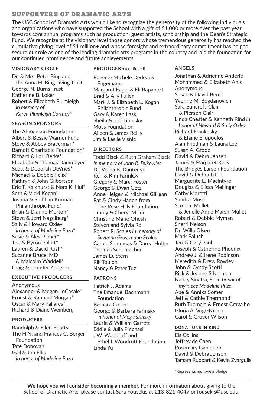#### SUPPORTERS OF DRAMATIC ARTS

The USC School of Dramatic Arts would like to recognize the generosity of the following individuals and organizations who have supported the School with a gift of \$1,000 or more over the past year towards core annual programs such as production, guest artists, scholarship and the Dean's Strategic Fund. We recognize at the visionary level those donors whose tremendous generosity has reached the cumulative giving level of \$1 million+ and whose foresight and extraordinary commitment has helped secure our role as one of the leading dramatic arts programs in the country and laid the foundation for our continued prominence and future achievements.

#### **VISIONARY CIRCLE**

Dr. & Mrs. Peter Bing and the Anna H. Bing Living Trust George N. Burns Trust Katherine B. Loker Robert & Elizabeth Plumleigh *in memory of Karen Plumleigh Cortney\**

#### **SEASON SPONSORS**

The Ahmanson Foundation Albert & Bessie Warner Fund Steve & Abbey Braverman\* Barnett Charitable Foundation\* Richard & Lori Berke\* Elizabeth & Thomas Dammeyer Scott & Deborah DeVries\* Michael & Debbie Felix\* Kathryn & John Gilbertson Eric T. Kalkhurst & Nora K. Hui\* Seth & Vicki Kogan\* Joshua & Siobhan Korman Philanthropic Fund\* Brian & Dianne Morton\*

Steve & Jerri Nagelberg\* Sally & Howard Oxley *in honor of Madeline Puzo\**

Susie & Alex Pilmer\* Teri & Byron Pollitt\* Lauren & David Rush\* Suzanne Bruce, MD & Malcolm Waddell\* Craig & Jennifer Zobelein

#### **EXECUTIVE PRODUCERS**

Anonymous Alexander & Megan LoCasale\* Ernest & Raphael Morgan\* Oscar & Mary Pallares\* Richard & Diane Weinberg

#### **PRODUCERS**

Randolph & Ellen Beatty The H.N. and Frances C. Berger Foundation Tate Donovan Gail & Jim Ellis *in honor of Madeline Puzo*

**PRODUCERS** (continued)

Roger & Michele Dedeaux Engemann Margaret Eagle & Eli Rapaport Brad & Ally Fuller Mark J. & Elizabeth L. Kogan Philanthropic Fund Gary & Karen Lask Sheila & Jeff Lipinsky Moss Foundation Aileen & James Reilly Jim & Leslie Visnic

#### **DIRECTORS**

Todd Black & Ruth Graham Black *In memory of John R. Bukowiec* Dr. Verna B. Dauterive Ken & Kim Farinksy Gregory & Marci Foster George & Dyan Getz Anne Helgen & Michael Gilligan Pat & Cindy Haden from The Rose Hills Foundation Jimmy & Cheryl Miller Christine Marie Ofiesh Steven and Sylvia Ré Robert R. Scales *in memory of Suzanne Grossmann Scales* Carole Shammas & Darryl Holter Thomas Schumacher James D. Stern Rik Toulon Nancy & Peter Tuz

#### **PATRONS**

Patrick J. Adams The Emanuel Bachmann Foundation Barbara Cotler George & Barbara Farinsky *in honor of Meg Farinsky* Laurie & William Garrett Eddie & Julia Pinchasi J.W. Woodruff and Ethel I. Woodruff Foundation Linda Yu

#### **ANGELS**

Jonathan & Adrienne Anderle Mohammed & Elizabeth Anis Anonymous Susan & David Berck Yvonne M. Bogdanovich Sara Bancroft-Clair & Pierson Clair Linda Chester & Kenneth Rind *in honor of Howard & Sally Oxley*  Richard Frankosky & Elaine Eliopoulos Alan Friedman & Laura Lee Susan A. Grode David & Debra Jensen James & Margaret Kelly The Bridges Larson Foundation David & Debra Little Marguerite E. Maclntyre Douglas & Elissa Mellinger Cathy Moretti Sandra Moss Scott S. Mullet & Jenelle Anne Marsh-Mullet Robert & Debbie Myman Sherri Nelson Dr. Willa Olsen Mark Paluch Teri & Gary Paul Joseph & Catherine Phoenix Andrew J. & Irene Robinson Meredith & Drew Rowley John & Cyndy Scotti Rick & Jeanne Silverman Nancy Sinatra, Sr. *in honor of my niece Madeline Puzo* Abe & Annika Somer Jeff & Cathie Thermond Ruth Tuomala & Ernest Cravalho Gloria A. Vogt-Nilsen Carol & Grover Wilson

#### **DONATIONS IN KIND**

Els Collins Jeffrey de Caen Rosemary Gabledon David & Debra Jensen Tamara Ruppart & Kevin Zvargulis

\*Represents multi-year pledge